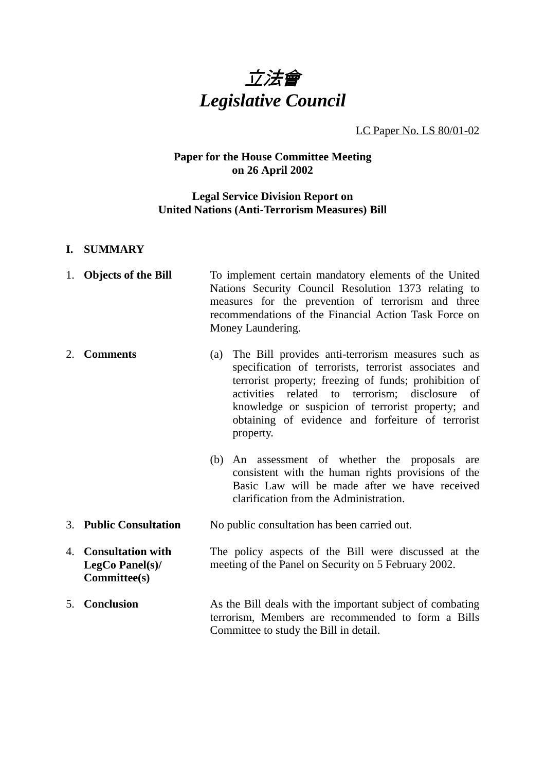

LC Paper No. LS 80/01-02

# **Paper for the House Committee Meeting on 26 April 2002**

## **Legal Service Division Report on United Nations (Anti-Terrorism Measures) Bill**

## **I. SUMMARY**

| 1. Objects of the Bill | To implement certain mandatory elements of the United |
|------------------------|-------------------------------------------------------|
|                        | Nations Security Council Resolution 1373 relating to  |
|                        | measures for the prevention of terrorism and three    |
|                        | recommendations of the Financial Action Task Force on |
|                        | Money Laundering.                                     |

2. **Comments** (a) The Bill provides anti-terrorism measures such as specification of terrorists, terrorist associates and terrorist property; freezing of funds; prohibition of activities related to terrorism; disclosure of knowledge or suspicion of terrorist property; and obtaining of evidence and forfeiture of terrorist property.

- (b) An assessment of whether the proposals are consistent with the human rights provisions of the Basic Law will be made after we have received clarification from the Administration.
- 3. **Public Consultation** No public consultation has been carried out.
- 4. **Consultation with LegCo Panel(s)/ Committee(s)** The policy aspects of the Bill were discussed at the meeting of the Panel on Security on 5 February 2002.
- 5. **Conclusion** As the Bill deals with the important subject of combating terrorism, Members are recommended to form a Bills Committee to study the Bill in detail.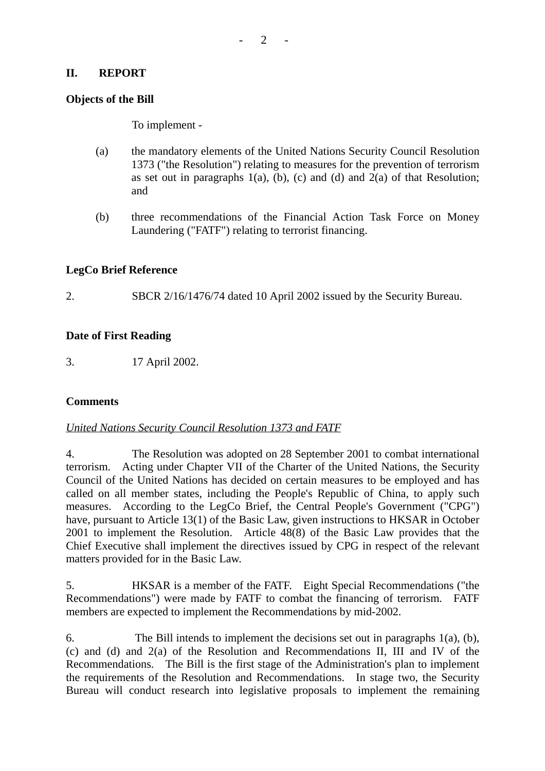#### **II. REPORT**

#### **Objects of the Bill**

To implement -

- (a) the mandatory elements of the United Nations Security Council Resolution 1373 ("the Resolution") relating to measures for the prevention of terrorism as set out in paragraphs  $1(a)$ ,  $(b)$ ,  $(c)$  and  $(d)$  and  $2(a)$  of that Resolution; and
- (b) three recommendations of the Financial Action Task Force on Money Laundering ("FATF") relating to terrorist financing.

## **LegCo Brief Reference**

2. SBCR 2/16/1476/74 dated 10 April 2002 issued by the Security Bureau.

## **Date of First Reading**

3. 17 April 2002.

## **Comments**

## *United Nations Security Council Resolution 1373 and FATF*

4. The Resolution was adopted on 28 September 2001 to combat international terrorism. Acting under Chapter VII of the Charter of the United Nations, the Security Council of the United Nations has decided on certain measures to be employed and has called on all member states, including the People's Republic of China, to apply such measures. According to the LegCo Brief, the Central People's Government ("CPG") have, pursuant to Article 13(1) of the Basic Law, given instructions to HKSAR in October 2001 to implement the Resolution. Article 48(8) of the Basic Law provides that the Chief Executive shall implement the directives issued by CPG in respect of the relevant matters provided for in the Basic Law.

5. HKSAR is a member of the FATF. Eight Special Recommendations ("the Recommendations") were made by FATF to combat the financing of terrorism. FATF members are expected to implement the Recommendations by mid-2002.

6. The Bill intends to implement the decisions set out in paragraphs 1(a), (b), (c) and (d) and 2(a) of the Resolution and Recommendations II, III and IV of the Recommendations. The Bill is the first stage of the Administration's plan to implement the requirements of the Resolution and Recommendations. In stage two, the Security Bureau will conduct research into legislative proposals to implement the remaining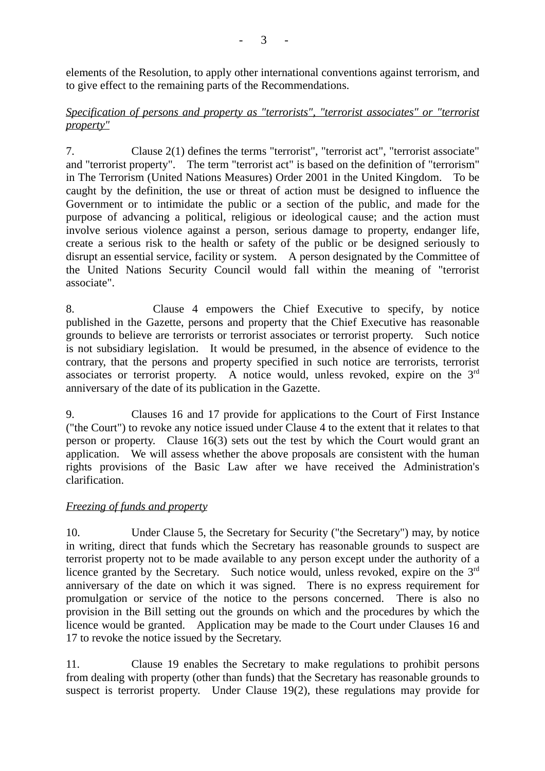elements of the Resolution, to apply other international conventions against terrorism, and to give effect to the remaining parts of the Recommendations.

## *Specification of persons and property as "terrorists", "terrorist associates" or "terrorist property"*

7. Clause 2(1) defines the terms "terrorist", "terrorist act", "terrorist associate" and "terrorist property". The term "terrorist act" is based on the definition of "terrorism" in The Terrorism (United Nations Measures) Order 2001 in the United Kingdom. To be caught by the definition, the use or threat of action must be designed to influence the Government or to intimidate the public or a section of the public, and made for the purpose of advancing a political, religious or ideological cause; and the action must involve serious violence against a person, serious damage to property, endanger life, create a serious risk to the health or safety of the public or be designed seriously to disrupt an essential service, facility or system. A person designated by the Committee of the United Nations Security Council would fall within the meaning of "terrorist associate".

8. Clause 4 empowers the Chief Executive to specify, by notice published in the Gazette, persons and property that the Chief Executive has reasonable grounds to believe are terrorists or terrorist associates or terrorist property. Such notice is not subsidiary legislation. It would be presumed, in the absence of evidence to the contrary, that the persons and property specified in such notice are terrorists, terrorist associates or terrorist property. A notice would, unless revoked, expire on the 3rd anniversary of the date of its publication in the Gazette.

9. Clauses 16 and 17 provide for applications to the Court of First Instance ("the Court") to revoke any notice issued under Clause 4 to the extent that it relates to that person or property. Clause 16(3) sets out the test by which the Court would grant an application. We will assess whether the above proposals are consistent with the human rights provisions of the Basic Law after we have received the Administration's clarification.

## *Freezing of funds and property*

10. Under Clause 5, the Secretary for Security ("the Secretary") may, by notice in writing, direct that funds which the Secretary has reasonable grounds to suspect are terrorist property not to be made available to any person except under the authority of a licence granted by the Secretary. Such notice would, unless revoked, expire on the 3<sup>rd</sup> anniversary of the date on which it was signed. There is no express requirement for promulgation or service of the notice to the persons concerned. There is also no provision in the Bill setting out the grounds on which and the procedures by which the licence would be granted. Application may be made to the Court under Clauses 16 and 17 to revoke the notice issued by the Secretary.

11. Clause 19 enables the Secretary to make regulations to prohibit persons from dealing with property (other than funds) that the Secretary has reasonable grounds to suspect is terrorist property. Under Clause 19(2), these regulations may provide for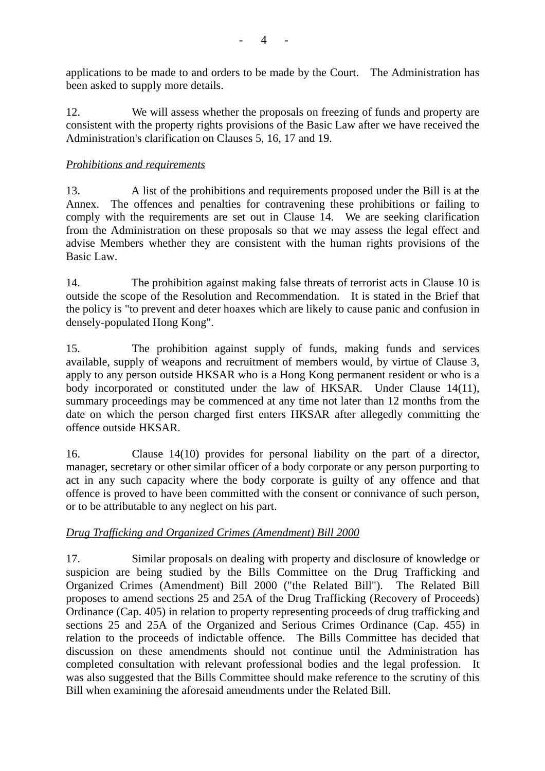applications to be made to and orders to be made by the Court. The Administration has been asked to supply more details.

12. We will assess whether the proposals on freezing of funds and property are consistent with the property rights provisions of the Basic Law after we have received the Administration's clarification on Clauses 5, 16, 17 and 19.

# *Prohibitions and requirements*

13. A list of the prohibitions and requirements proposed under the Bill is at the Annex. The offences and penalties for contravening these prohibitions or failing to comply with the requirements are set out in Clause 14. We are seeking clarification from the Administration on these proposals so that we may assess the legal effect and advise Members whether they are consistent with the human rights provisions of the Basic Law.

14. The prohibition against making false threats of terrorist acts in Clause 10 is outside the scope of the Resolution and Recommendation. It is stated in the Brief that the policy is "to prevent and deter hoaxes which are likely to cause panic and confusion in densely-populated Hong Kong".

15. The prohibition against supply of funds, making funds and services available, supply of weapons and recruitment of members would, by virtue of Clause 3, apply to any person outside HKSAR who is a Hong Kong permanent resident or who is a body incorporated or constituted under the law of HKSAR. Under Clause 14(11), summary proceedings may be commenced at any time not later than 12 months from the date on which the person charged first enters HKSAR after allegedly committing the offence outside HKSAR.

16. Clause 14(10) provides for personal liability on the part of a director, manager, secretary or other similar officer of a body corporate or any person purporting to act in any such capacity where the body corporate is guilty of any offence and that offence is proved to have been committed with the consent or connivance of such person, or to be attributable to any neglect on his part.

# *Drug Trafficking and Organized Crimes (Amendment) Bill 2000*

17. Similar proposals on dealing with property and disclosure of knowledge or suspicion are being studied by the Bills Committee on the Drug Trafficking and Organized Crimes (Amendment) Bill 2000 ("the Related Bill"). The Related Bill proposes to amend sections 25 and 25A of the Drug Trafficking (Recovery of Proceeds) Ordinance (Cap. 405) in relation to property representing proceeds of drug trafficking and sections 25 and 25A of the Organized and Serious Crimes Ordinance (Cap. 455) in relation to the proceeds of indictable offence. The Bills Committee has decided that discussion on these amendments should not continue until the Administration has completed consultation with relevant professional bodies and the legal profession. It was also suggested that the Bills Committee should make reference to the scrutiny of this Bill when examining the aforesaid amendments under the Related Bill.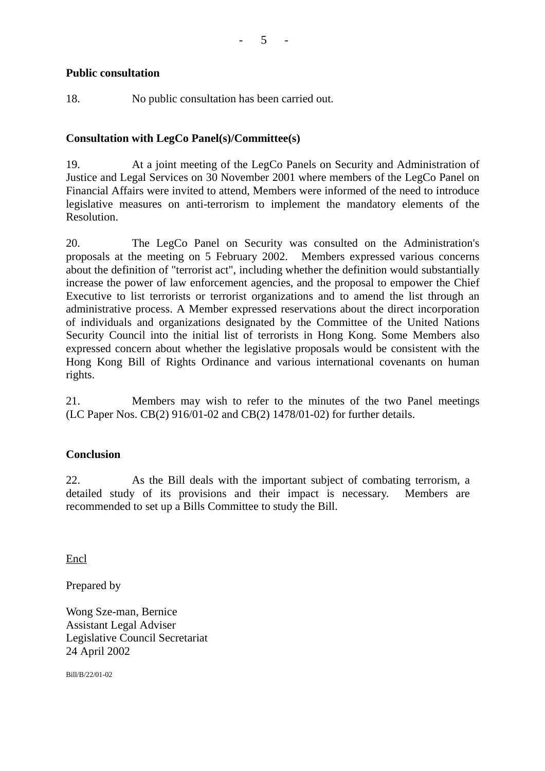## **Public consultation**

18. No public consultation has been carried out.

## **Consultation with LegCo Panel(s)/Committee(s)**

19. At a joint meeting of the LegCo Panels on Security and Administration of Justice and Legal Services on 30 November 2001 where members of the LegCo Panel on Financial Affairs were invited to attend, Members were informed of the need to introduce legislative measures on anti-terrorism to implement the mandatory elements of the Resolution.

20. The LegCo Panel on Security was consulted on the Administration's proposals at the meeting on 5 February 2002. Members expressed various concerns about the definition of "terrorist act", including whether the definition would substantially increase the power of law enforcement agencies, and the proposal to empower the Chief Executive to list terrorists or terrorist organizations and to amend the list through an administrative process. A Member expressed reservations about the direct incorporation of individuals and organizations designated by the Committee of the United Nations Security Council into the initial list of terrorists in Hong Kong. Some Members also expressed concern about whether the legislative proposals would be consistent with the Hong Kong Bill of Rights Ordinance and various international covenants on human rights.

21. Members may wish to refer to the minutes of the two Panel meetings (LC Paper Nos. CB(2) 916/01-02 and CB(2) 1478/01-02) for further details.

# **Conclusion**

22. As the Bill deals with the important subject of combating terrorism, a detailed study of its provisions and their impact is necessary. Members are recommended to set up a Bills Committee to study the Bill.

Encl

Prepared by

Wong Sze-man, Bernice Assistant Legal Adviser Legislative Council Secretariat 24 April 2002

Bill/B/22/01-02